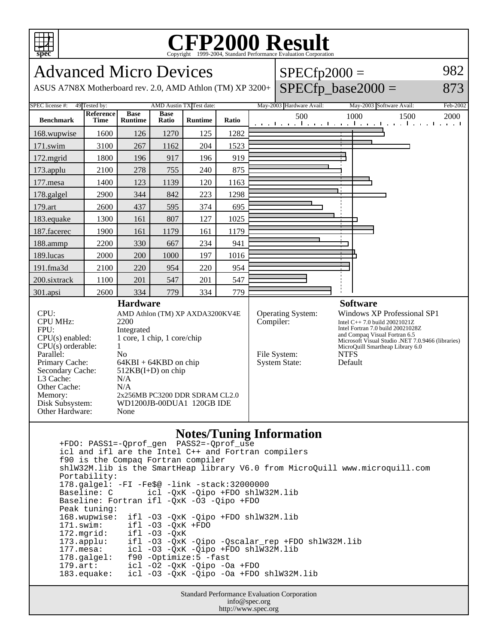

## Copyright ©1999-2004, Standard Performance Evaluation Corporation

| <b>Advanced Micro Devices</b><br>$SPECfp2000 =$                                                                                                                                                                    |                   |                                                                                                                                      |                      |                |           |                                          |                                                                                                                                                                                                                                                   |                                                       | 982                      |
|--------------------------------------------------------------------------------------------------------------------------------------------------------------------------------------------------------------------|-------------------|--------------------------------------------------------------------------------------------------------------------------------------|----------------------|----------------|-----------|------------------------------------------|---------------------------------------------------------------------------------------------------------------------------------------------------------------------------------------------------------------------------------------------------|-------------------------------------------------------|--------------------------|
| $SPECfp\_base2000 =$<br>ASUS A7N8X Motherboard rev. 2.0, AMD Athlon (TM) XP 3200+                                                                                                                                  |                   |                                                                                                                                      |                      |                |           |                                          |                                                                                                                                                                                                                                                   |                                                       | 873                      |
| <b>SPEC</b> license #:<br>AMD Austin TX Test date:<br>49 Tested by:                                                                                                                                                |                   |                                                                                                                                      |                      |                |           |                                          | May-2003 Hardware Avail:                                                                                                                                                                                                                          | May-2003 Software Avail:                              | Feb-2002                 |
| <b>Benchmark</b>                                                                                                                                                                                                   | Reference<br>Time | <b>Base</b><br><b>Runtime</b>                                                                                                        | <b>Base</b><br>Ratio | <b>Runtime</b> | Ratio     |                                          | 500<br>and the man                                                                                                                                                                                                                                | 1000<br>1500<br>the manifest contribution of the con- | 2000<br>and the angle to |
| 168.wupwise                                                                                                                                                                                                        | 1600              | 126                                                                                                                                  | 1270                 | 125            | 1282      |                                          |                                                                                                                                                                                                                                                   |                                                       |                          |
| 171.swim                                                                                                                                                                                                           | 3100              | 267                                                                                                                                  | 1162                 | 204            | 1523      |                                          |                                                                                                                                                                                                                                                   |                                                       |                          |
| 172.mgrid                                                                                                                                                                                                          | 1800              | 196                                                                                                                                  | 917                  | 196            | 919       |                                          |                                                                                                                                                                                                                                                   |                                                       |                          |
| 173.applu                                                                                                                                                                                                          | 2100              | 278                                                                                                                                  | 755                  | 240            | 875       |                                          |                                                                                                                                                                                                                                                   |                                                       |                          |
| 177.mesa                                                                                                                                                                                                           | 1400              | 123                                                                                                                                  | 1139                 | 120            | 1163      |                                          |                                                                                                                                                                                                                                                   |                                                       |                          |
| 178.galgel                                                                                                                                                                                                         | 2900              | 344                                                                                                                                  | 842                  | 223            | 1298      |                                          |                                                                                                                                                                                                                                                   |                                                       |                          |
| 179.art                                                                                                                                                                                                            | 2600              | 437                                                                                                                                  | 595                  | 374            | 695       |                                          |                                                                                                                                                                                                                                                   |                                                       |                          |
| 183.equake                                                                                                                                                                                                         | 1300              | 161                                                                                                                                  | 807                  | 127            | 1025      |                                          |                                                                                                                                                                                                                                                   |                                                       |                          |
| 187.facerec                                                                                                                                                                                                        | 1900              | 161                                                                                                                                  | 1179                 | 161            | 1179      |                                          |                                                                                                                                                                                                                                                   |                                                       |                          |
| 188.ammp                                                                                                                                                                                                           | 2200              | 330                                                                                                                                  | 667                  | 234            | 941       |                                          |                                                                                                                                                                                                                                                   |                                                       |                          |
| 189.lucas                                                                                                                                                                                                          | 2000              | 200                                                                                                                                  | 1000                 | 197            | 1016      |                                          |                                                                                                                                                                                                                                                   |                                                       |                          |
| 191.fma3d                                                                                                                                                                                                          | 2100              | 220                                                                                                                                  | 954                  | 220            | 954       |                                          |                                                                                                                                                                                                                                                   |                                                       |                          |
| 200.sixtrack                                                                                                                                                                                                       | 1100              | 201                                                                                                                                  | 547                  | 201            | 547       |                                          |                                                                                                                                                                                                                                                   |                                                       |                          |
| 301.apsi                                                                                                                                                                                                           | 2600              | 334                                                                                                                                  | 779                  | 334            | 779       |                                          |                                                                                                                                                                                                                                                   |                                                       |                          |
| <b>Hardware</b>                                                                                                                                                                                                    |                   |                                                                                                                                      |                      |                |           |                                          |                                                                                                                                                                                                                                                   | <b>Software</b>                                       |                          |
| CPU:<br>AMD Athlon (TM) XP AXDA3200KV4E<br><b>CPU MHz:</b><br>2200<br>FPU:<br>Integrated<br>1 core, 1 chip, 1 core/chip<br>$CPU(s)$ enabled:<br>$CPU(s)$ orderable:<br>$\mathbf{1}$<br>Parallel:<br>N <sub>o</sub> |                   |                                                                                                                                      |                      |                | Compiler: | <b>Operating System:</b><br>File System: | <b>Windows XP Professional SP1</b><br>Intel C++ 7.0 build 20021021Z<br>Intel Fortran 7.0 build 20021028Z<br>and Compaq Visual Fortran 6.5<br>Microsoft Visual Studio .NET 7.0.9466 (libraries)<br>MicroQuill Smartheap Library 6.0<br><b>NTFS</b> |                                                       |                          |
| Primary Cache:<br>Secondary Cache:<br>L3 Cache:<br>Other Cache:<br>Memory:<br>Disk Subsystem:<br>Other Hardware:                                                                                                   |                   | $64KBI + 64KBD$ on chip<br>$512KB(I+D)$ on chip<br>N/A<br>N/A<br>2x256MB PC3200 DDR SDRAM CL2.0<br>WD1200JB-00DUA1 120GB IDE<br>None |                      |                |           |                                          | <b>System State:</b>                                                                                                                                                                                                                              | Default                                               |                          |
| <b>Notes/Tuning Information</b><br>$PASS2 = -Oprof$ use<br>+FDO: PASS1=-Oprof gen                                                                                                                                  |                   |                                                                                                                                      |                      |                |           |                                          |                                                                                                                                                                                                                                                   |                                                       |                          |

 +FDO: PASS1=-Qprof\_gen PASS2=-Qprof\_use icl and ifl are the Intel C++ and Fortran compilers f90 is the Compaq Fortran compiler shlW32M.lib is the SmartHeap library V6.0 from MicroQuill www.microquill.com Portability: 178.galgel: -FI -Fe\$@ -link -stack:32000000 Baseline: C icl -QxK -Qipo +FDO shlW32M.lib Baseline: Fortran ifl -QxK -O3 -Qipo +FDO Peak tuning: 168.wupwise: ifl -O3 -QxK -Qipo +FDO shlW32M.lib 171.swim: ifl -O3 -QxK +FDO 172.mgrid: ifl -03 -QxK<br>173.applu: ifl -03 -QxK 173.applu: ifl -O3 -QxK -Qipo -Qscalar\_rep +FDO shlW32M.lib<br>177.mesa: icl -O3 -QxK -Qipo +FDO shlW32M.lib 177.mesa: icl -O3 -QxK -Qipo +FDO shlW32M.lib<br>178.galgel: f90 -Optimize:5 -fast 178.galgel: f90 -Optimize:5 -fast 179.art: icl -O2 -QxK -Qipo -Oa +FDO 183.equake: icl -O3 -QxK -Qipo -Oa +FDO shlW32M.lib

Standard Performance Evaluation Corporation info@spec.org http://www.spec.org